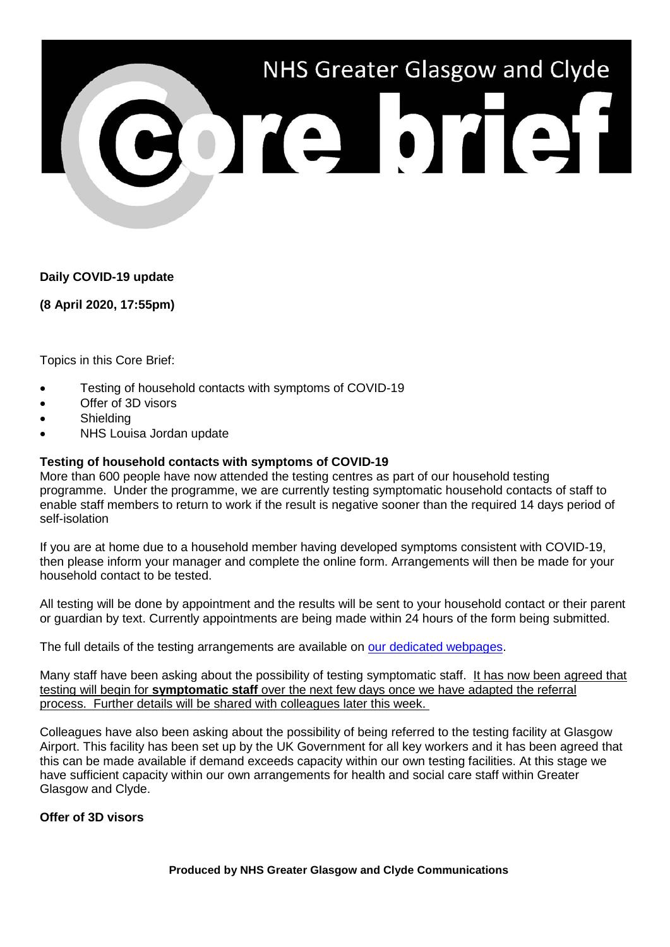

**Daily COVID-19 update**

**(8 April 2020, 17:55pm)**

Topics in this Core Brief:

- Testing of household contacts with symptoms of COVID-19
- Offer of 3D visors
- **Shielding**
- NHS Louisa Jordan update

## **Testing of household contacts with symptoms of COVID-19**

More than 600 people have now attended the testing centres as part of our household testing programme. Under the programme, we are currently testing symptomatic household contacts of staff to enable staff members to return to work if the result is negative sooner than the required 14 days period of self-isolation

If you are at home due to a household member having developed symptoms consistent with COVID-19, then please inform your manager and complete the online form. Arrangements will then be made for your household contact to be tested.

All testing will be done by appointment and the results will be sent to your household contact or their parent or guardian by text. Currently appointments are being made within 24 hours of the form being submitted.

The full details of the testing arrangements are available on [our dedicated webpages.](https://www.nhsggc.org.uk/your-health/health-issues/covid-19-coronavirus/for-nhsggc-staff/general-staff-guidance/)

Many staff have been asking about the possibility of testing symptomatic staff. It has now been agreed that testing will begin for **symptomatic staff** over the next few days once we have adapted the referral process. Further details will be shared with colleagues later this week.

Colleagues have also been asking about the possibility of being referred to the testing facility at Glasgow Airport. This facility has been set up by the UK Government for all key workers and it has been agreed that this can be made available if demand exceeds capacity within our own testing facilities. At this stage we have sufficient capacity within our own arrangements for health and social care staff within Greater Glasgow and Clyde.

## **Offer of 3D visors**